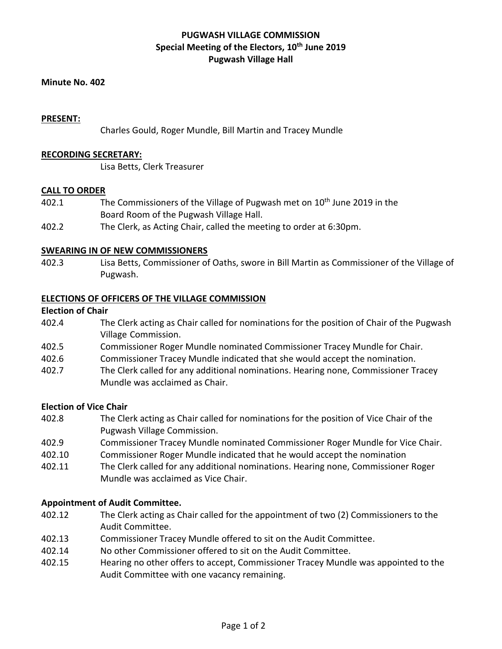# **PUGWASH VILLAGE COMMISSION Special Meeting of the Electors, 10 th June 2019 Pugwash Village Hall**

#### **Minute No. 402**

#### **PRESENT:**

Charles Gould, Roger Mundle, Bill Martin and Tracey Mundle

## **RECORDING SECRETARY:**

Lisa Betts, Clerk Treasurer

#### **CALL TO ORDER**

- 402.1 The Commissioners of the Village of Pugwash met on 10<sup>th</sup> June 2019 in the Board Room of the Pugwash Village Hall.
- 402.2 The Clerk, as Acting Chair, called the meeting to order at 6:30pm.

#### **SWEARING IN OF NEW COMMISSIONERS**

402.3 Lisa Betts, Commissioner of Oaths, swore in Bill Martin as Commissioner of the Village of Pugwash.

#### **ELECTIONS OF OFFICERS OF THE VILLAGE COMMISSION**

#### **Election of Chair**

- 402.4 The Clerk acting as Chair called for nominations for the position of Chair of the Pugwash Village Commission.
- 402.5 Commissioner Roger Mundle nominated Commissioner Tracey Mundle for Chair.
- 402.6 Commissioner Tracey Mundle indicated that she would accept the nomination.
- 402.7 The Clerk called for any additional nominations. Hearing none, Commissioner Tracey Mundle was acclaimed as Chair.

#### **Election of Vice Chair**

- 402.8 The Clerk acting as Chair called for nominations for the position of Vice Chair of the Pugwash Village Commission.
- 402.9 Commissioner Tracey Mundle nominated Commissioner Roger Mundle for Vice Chair.
- 402.10 Commissioner Roger Mundle indicated that he would accept the nomination
- 402.11 The Clerk called for any additional nominations. Hearing none, Commissioner Roger Mundle was acclaimed as Vice Chair.

#### **Appointment of Audit Committee.**

- 402.12 The Clerk acting as Chair called for the appointment of two (2) Commissioners to the Audit Committee.
- 402.13 Commissioner Tracey Mundle offered to sit on the Audit Committee.
- 402.14 No other Commissioner offered to sit on the Audit Committee.
- 402.15 Hearing no other offers to accept, Commissioner Tracey Mundle was appointed to the Audit Committee with one vacancy remaining.